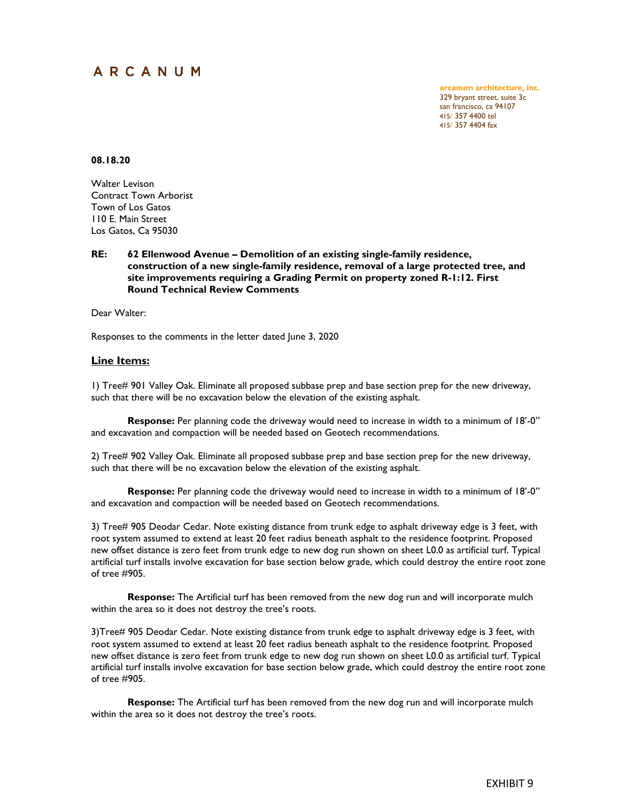# ARCANUM

**arcanum architecture, inc.** 329 bryant street, suite 3c san francisco, ca 94107 415/ 357 4400 tel 415/ 357 4404 fax

## **08.18.20**

Walter Levison Contract Town Arborist Town of Los Gatos 110 E. Main Street Los Gatos, Ca 95030

## **RE: 62 Ellenwood Avenue – Demolition of an existing single-family residence, construction of a new single-family residence, removal of a large protected tree, and site improvements requiring a Grading Permit on property zoned R-1:12. First Round Technical Review Comments**

Dear Walter:

Responses to the comments in the letter dated June 3, 2020

## **Line Items:**

1) Tree# 901 Valley Oak. Eliminate all proposed subbase prep and base section prep for the new driveway, such that there will be no excavation below the elevation of the existing asphalt.

**Response:** Per planning code the driveway would need to increase in width to a minimum of 18'-0" and excavation and compaction will be needed based on Geotech recommendations.

2) Tree# 902 Valley Oak. Eliminate all proposed subbase prep and base section prep for the new driveway, such that there will be no excavation below the elevation of the existing asphalt.

**Response:** Per planning code the driveway would need to increase in width to a minimum of 18'-0" and excavation and compaction will be needed based on Geotech recommendations.

3) Tree# 905 Deodar Cedar. Note existing distance from trunk edge to asphalt driveway edge is 3 feet, with root system assumed to extend at least 20 feet radius beneath asphalt to the residence footprint. Proposed new offset distance is zero feet from trunk edge to new dog run shown on sheet L0.0 as artificial turf. Typical artificial turf installs involve excavation for base section below grade, which could destroy the entire root zone of tree #905.

**Response:** The Artificial turf has been removed from the new dog run and will incorporate mulch within the area so it does not destroy the tree's roots.

3)Tree# 905 Deodar Cedar. Note existing distance from trunk edge to asphalt driveway edge is 3 feet, with root system assumed to extend at least 20 feet radius beneath asphalt to the residence footprint. Proposed new offset distance is zero feet from trunk edge to new dog run shown on sheet L0.0 as artificial turf. Typical artificial turf installs involve excavation for base section below grade, which could destroy the entire root zone of tree #905.

**Response:** The Artificial turf has been removed from the new dog run and will incorporate mulch within the area so it does not destroy the tree's roots.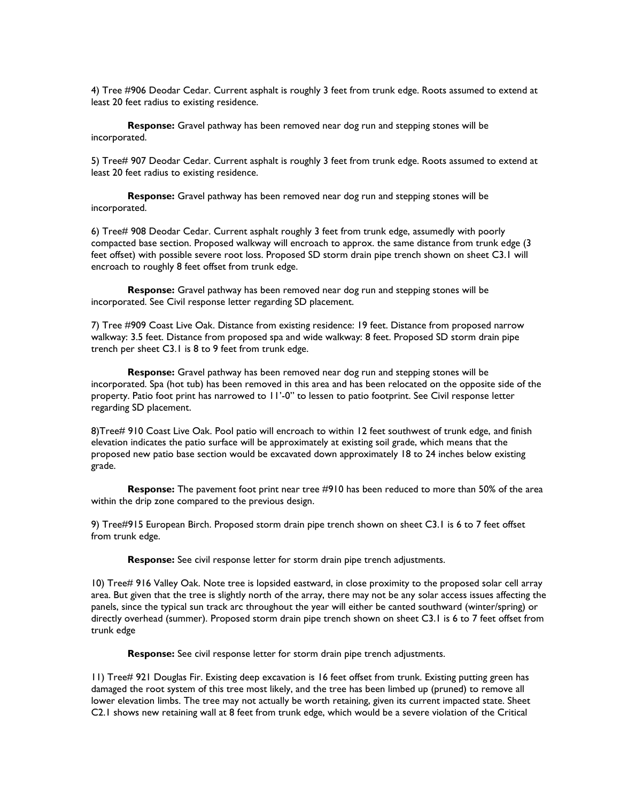4) Tree #906 Deodar Cedar. Current asphalt is roughly 3 feet from trunk edge. Roots assumed to extend at least 20 feet radius to existing residence.

**Response:** Gravel pathway has been removed near dog run and stepping stones will be incorporated.

5) Tree# 907 Deodar Cedar. Current asphalt is roughly 3 feet from trunk edge. Roots assumed to extend at least 20 feet radius to existing residence.

**Response:** Gravel pathway has been removed near dog run and stepping stones will be incorporated.

6) Tree# 908 Deodar Cedar. Current asphalt roughly 3 feet from trunk edge, assumedly with poorly compacted base section. Proposed walkway will encroach to approx. the same distance from trunk edge (3 feet offset) with possible severe root loss. Proposed SD storm drain pipe trench shown on sheet C3.1 will encroach to roughly 8 feet offset from trunk edge.

**Response:** Gravel pathway has been removed near dog run and stepping stones will be incorporated. See Civil response letter regarding SD placement.

7) Tree #909 Coast Live Oak. Distance from existing residence: 19 feet. Distance from proposed narrow walkway: 3.5 feet. Distance from proposed spa and wide walkway: 8 feet. Proposed SD storm drain pipe trench per sheet C3.1 is 8 to 9 feet from trunk edge.

**Response:** Gravel pathway has been removed near dog run and stepping stones will be incorporated. Spa (hot tub) has been removed in this area and has been relocated on the opposite side of the property. Patio foot print has narrowed to 11'-0" to lessen to patio footprint. See Civil response letter regarding SD placement.

8)Tree# 910 Coast Live Oak. Pool patio will encroach to within 12 feet southwest of trunk edge, and finish elevation indicates the patio surface will be approximately at existing soil grade, which means that the proposed new patio base section would be excavated down approximately 18 to 24 inches below existing grade.

**Response:** The pavement foot print near tree #910 has been reduced to more than 50% of the area within the drip zone compared to the previous design.

9) Tree#915 European Birch. Proposed storm drain pipe trench shown on sheet C3.1 is 6 to 7 feet offset from trunk edge.

**Response:** See civil response letter for storm drain pipe trench adjustments.

10) Tree# 916 Valley Oak. Note tree is lopsided eastward, in close proximity to the proposed solar cell array area. But given that the tree is slightly north of the array, there may not be any solar access issues affecting the panels, since the typical sun track arc throughout the year will either be canted southward (winter/spring) or directly overhead (summer). Proposed storm drain pipe trench shown on sheet C3.1 is 6 to 7 feet offset from trunk edge

**Response:** See civil response letter for storm drain pipe trench adjustments.

11) Tree# 921 Douglas Fir. Existing deep excavation is 16 feet offset from trunk. Existing putting green has damaged the root system of this tree most likely, and the tree has been limbed up (pruned) to remove all lower elevation limbs. The tree may not actually be worth retaining, given its current impacted state. Sheet C2.1 shows new retaining wall at 8 feet from trunk edge, which would be a severe violation of the Critical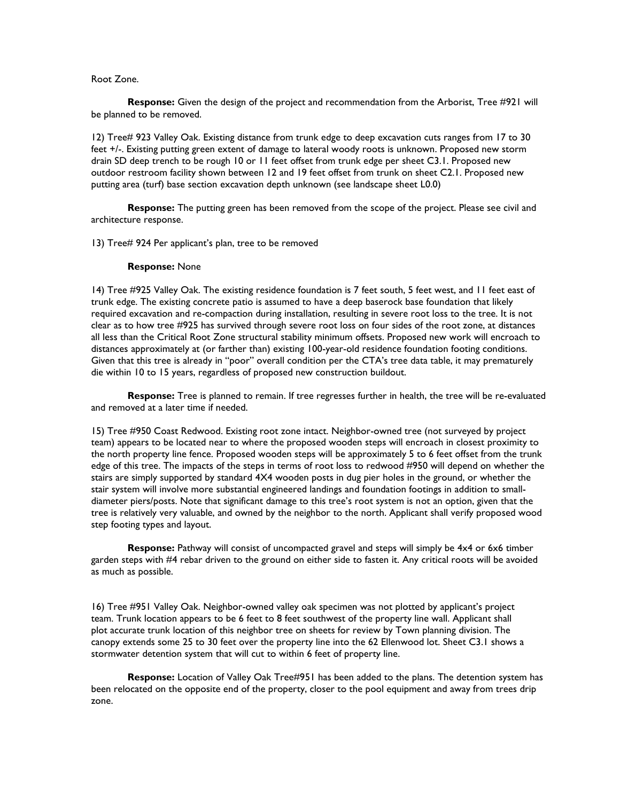#### Root Zone.

**Response:** Given the design of the project and recommendation from the Arborist, Tree #921 will be planned to be removed.

12) Tree# 923 Valley Oak. Existing distance from trunk edge to deep excavation cuts ranges from 17 to 30 feet +/-. Existing putting green extent of damage to lateral woody roots is unknown. Proposed new storm drain SD deep trench to be rough 10 or 11 feet offset from trunk edge per sheet C3.1. Proposed new outdoor restroom facility shown between 12 and 19 feet offset from trunk on sheet C2.1. Proposed new putting area (turf) base section excavation depth unknown (see landscape sheet L0.0)

**Response:** The putting green has been removed from the scope of the project. Please see civil and architecture response.

13) Tree# 924 Per applicant's plan, tree to be removed

#### **Response:** None

14) Tree #925 Valley Oak. The existing residence foundation is 7 feet south, 5 feet west, and 11 feet east of trunk edge. The existing concrete patio is assumed to have a deep baserock base foundation that likely required excavation and re-compaction during installation, resulting in severe root loss to the tree. It is not clear as to how tree #925 has survived through severe root loss on four sides of the root zone, at distances all less than the Critical Root Zone structural stability minimum offsets. Proposed new work will encroach to distances approximately at (or farther than) existing 100-year-old residence foundation footing conditions. Given that this tree is already in "poor" overall condition per the CTA's tree data table, it may prematurely die within 10 to 15 years, regardless of proposed new construction buildout.

**Response:** Tree is planned to remain. If tree regresses further in health, the tree will be re-evaluated and removed at a later time if needed.

15) Tree #950 Coast Redwood. Existing root zone intact. Neighbor-owned tree (not surveyed by project team) appears to be located near to where the proposed wooden steps will encroach in closest proximity to the north property line fence. Proposed wooden steps will be approximately 5 to 6 feet offset from the trunk edge of this tree. The impacts of the steps in terms of root loss to redwood #950 will depend on whether the stairs are simply supported by standard 4X4 wooden posts in dug pier holes in the ground, or whether the stair system will involve more substantial engineered landings and foundation footings in addition to smalldiameter piers/posts. Note that significant damage to this tree's root system is not an option, given that the tree is relatively very valuable, and owned by the neighbor to the north. Applicant shall verify proposed wood step footing types and layout.

**Response:** Pathway will consist of uncompacted gravel and steps will simply be 4x4 or 6x6 timber garden steps with #4 rebar driven to the ground on either side to fasten it. Any critical roots will be avoided as much as possible.

16) Tree #951 Valley Oak. Neighbor-owned valley oak specimen was not plotted by applicant's project team. Trunk location appears to be 6 feet to 8 feet southwest of the property line wall. Applicant shall plot accurate trunk location of this neighbor tree on sheets for review by Town planning division. The canopy extends some 25 to 30 feet over the property line into the 62 Ellenwood lot. Sheet C3.1 shows a stormwater detention system that will cut to within 6 feet of property line.

**Response:** Location of Valley Oak Tree#951 has been added to the plans. The detention system has been relocated on the opposite end of the property, closer to the pool equipment and away from trees drip zone.